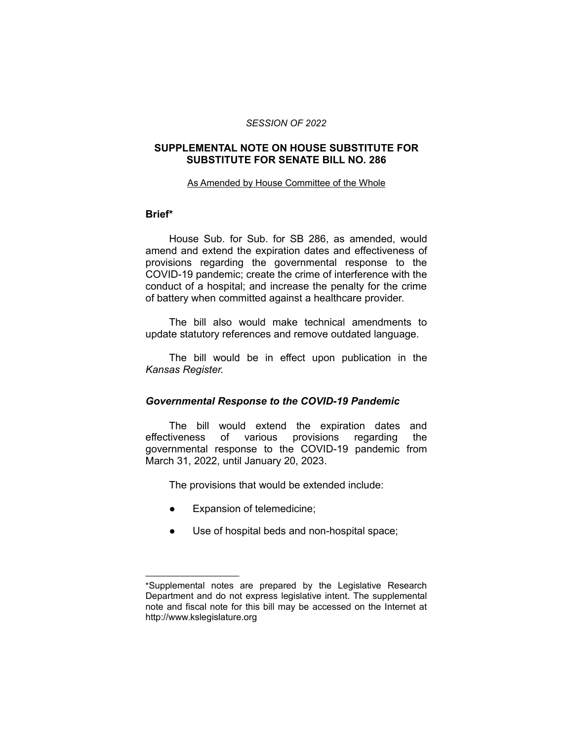#### *SESSION OF 2022*

## **SUPPLEMENTAL NOTE ON HOUSE SUBSTITUTE FOR SUBSTITUTE FOR SENATE BILL NO. 286**

#### As Amended by House Committee of the Whole

### **Brief\***

House Sub. for Sub. for SB 286, as amended, would amend and extend the expiration dates and effectiveness of provisions regarding the governmental response to the COVID-19 pandemic; create the crime of interference with the conduct of a hospital; and increase the penalty for the crime of battery when committed against a healthcare provider.

The bill also would make technical amendments to update statutory references and remove outdated language.

The bill would be in effect upon publication in the *Kansas Register.*

### *Governmental Response to the COVID-19 Pandemic*

The bill would extend the expiration dates and effectiveness of various provisions regarding the governmental response to the COVID-19 pandemic from March 31, 2022, until January 20, 2023.

The provisions that would be extended include:

Expansion of telemedicine;

 $\overline{\phantom{a}}$  , where  $\overline{\phantom{a}}$ 

● Use of hospital beds and non-hospital space;

<sup>\*</sup>Supplemental notes are prepared by the Legislative Research Department and do not express legislative intent. The supplemental note and fiscal note for this bill may be accessed on the Internet at http://www.kslegislature.org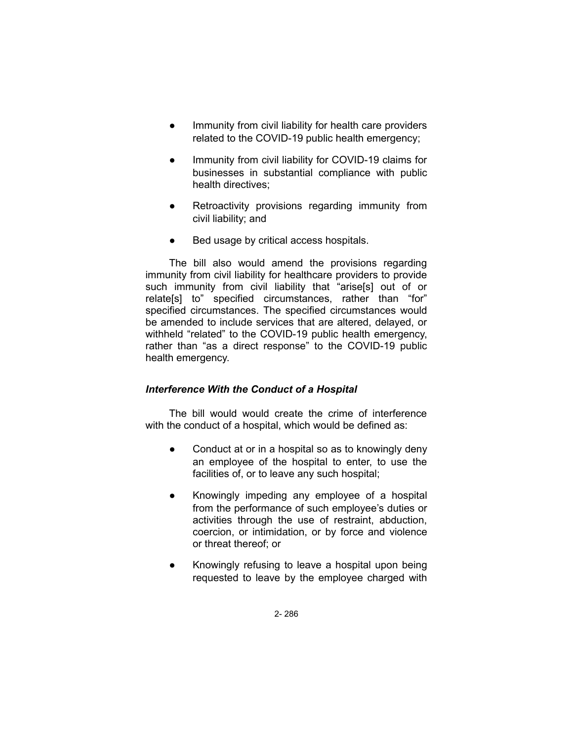- Immunity from civil liability for health care providers related to the COVID-19 public health emergency;
- Immunity from civil liability for COVID-19 claims for businesses in substantial compliance with public health directives;
- Retroactivity provisions regarding immunity from civil liability; and
- Bed usage by critical access hospitals.

The bill also would amend the provisions regarding immunity from civil liability for healthcare providers to provide such immunity from civil liability that "arise[s] out of or relate[s] to" specified circumstances, rather than "for" specified circumstances. The specified circumstances would be amended to include services that are altered, delayed, or withheld "related" to the COVID-19 public health emergency, rather than "as a direct response" to the COVID-19 public health emergency.

# *Interference With the Conduct of a Hospital*

The bill would would create the crime of interference with the conduct of a hospital, which would be defined as:

- Conduct at or in a hospital so as to knowingly deny an employee of the hospital to enter, to use the facilities of, or to leave any such hospital;
- Knowingly impeding any employee of a hospital from the performance of such employee's duties or activities through the use of restraint, abduction, coercion, or intimidation, or by force and violence or threat thereof; or
- Knowingly refusing to leave a hospital upon being requested to leave by the employee charged with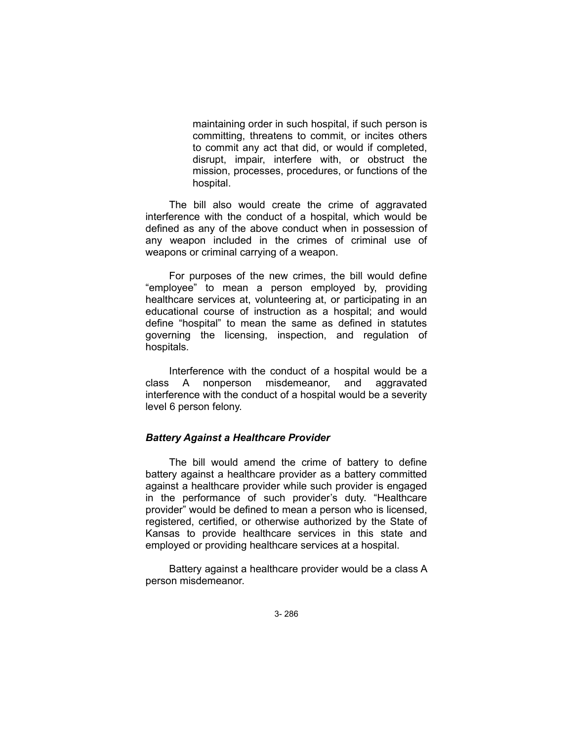maintaining order in such hospital, if such person is committing, threatens to commit, or incites others to commit any act that did, or would if completed, disrupt, impair, interfere with, or obstruct the mission, processes, procedures, or functions of the hospital.

The bill also would create the crime of aggravated interference with the conduct of a hospital, which would be defined as any of the above conduct when in possession of any weapon included in the crimes of criminal use of weapons or criminal carrying of a weapon.

For purposes of the new crimes, the bill would define "employee" to mean a person employed by, providing healthcare services at, volunteering at, or participating in an educational course of instruction as a hospital; and would define "hospital" to mean the same as defined in statutes governing the licensing, inspection, and regulation of hospitals.

Interference with the conduct of a hospital would be a class A nonperson misdemeanor, and aggravated interference with the conduct of a hospital would be a severity level 6 person felony.

### *Battery Against a Healthcare Provider*

The bill would amend the crime of battery to define battery against a healthcare provider as a battery committed against a healthcare provider while such provider is engaged in the performance of such provider's duty. "Healthcare provider" would be defined to mean a person who is licensed, registered, certified, or otherwise authorized by the State of Kansas to provide healthcare services in this state and employed or providing healthcare services at a hospital.

Battery against a healthcare provider would be a class A person misdemeanor.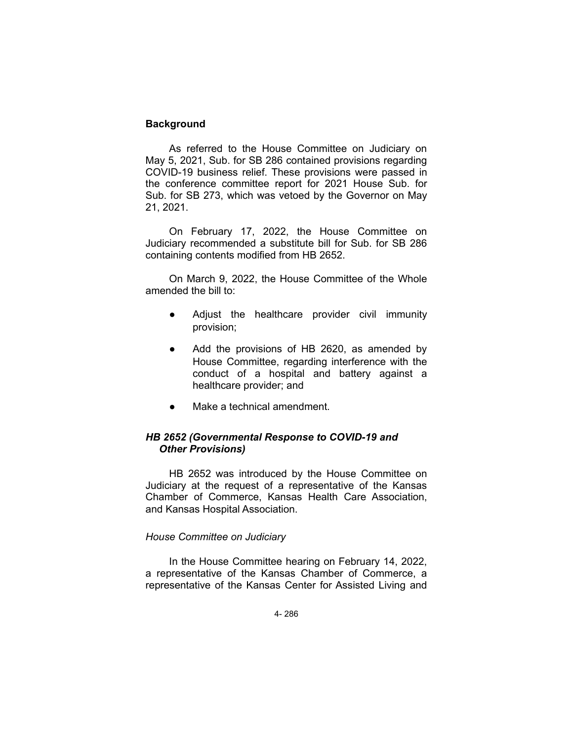## **Background**

As referred to the House Committee on Judiciary on May 5, 2021, Sub. for SB 286 contained provisions regarding COVID-19 business relief. These provisions were passed in the conference committee report for 2021 House Sub. for Sub. for SB 273, which was vetoed by the Governor on May 21, 2021.

On February 17, 2022, the House Committee on Judiciary recommended a substitute bill for Sub. for SB 286 containing contents modified from HB 2652.

On March 9, 2022, the House Committee of the Whole amended the bill to:

- Adjust the healthcare provider civil immunity provision;
- Add the provisions of HB 2620, as amended by House Committee, regarding interference with the conduct of a hospital and battery against a healthcare provider; and
- Make a technical amendment.

# *HB 2652 (Governmental Response to COVID-19 and Other Provisions)*

HB 2652 was introduced by the House Committee on Judiciary at the request of a representative of the Kansas Chamber of Commerce, Kansas Health Care Association, and Kansas Hospital Association.

### *House Committee on Judiciary*

In the House Committee hearing on February 14, 2022, a representative of the Kansas Chamber of Commerce, a representative of the Kansas Center for Assisted Living and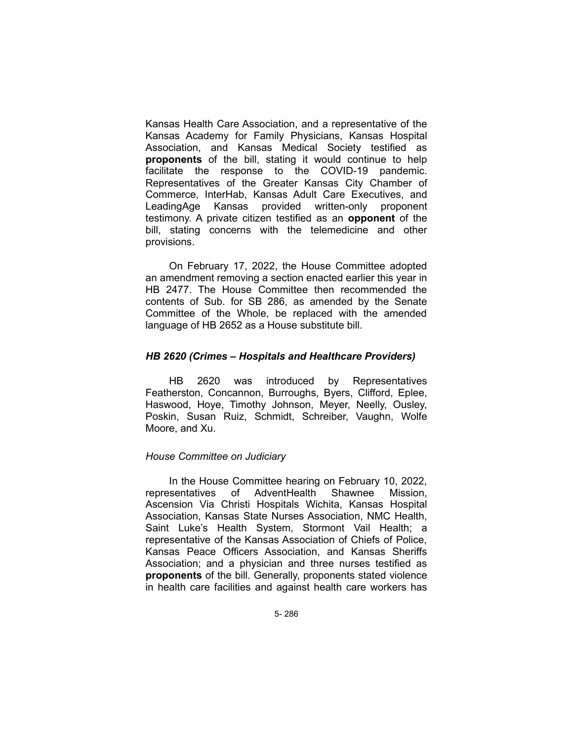Kansas Health Care Association, and a representative of the Kansas Academy for Family Physicians, Kansas Hospital Association, and Kansas Medical Society testified as **proponents** of the bill, stating it would continue to help facilitate the response to the COVID-19 pandemic. Representatives of the Greater Kansas City Chamber of Commerce, InterHab, Kansas Adult Care Executives, and LeadingAge Kansas provided written-only proponent testimony. A private citizen testified as an **opponent** of the bill, stating concerns with the telemedicine and other provisions.

On February 17, 2022, the House Committee adopted an amendment removing a section enacted earlier this year in HB 2477. The House Committee then recommended the contents of Sub. for SB 286, as amended by the Senate Committee of the Whole, be replaced with the amended language of HB 2652 as a House substitute bill.

## *HB 2620 (Crimes – Hospitals and Healthcare Providers)*

HB 2620 was introduced by Representatives Featherston, Concannon, Burroughs, Byers, Clifford, Eplee, Haswood, Hoye, Timothy Johnson, Meyer, Neelly, Ousley, Poskin, Susan Ruiz, Schmidt, Schreiber, Vaughn, Wolfe Moore, and Xu.

# *House Committee on Judiciary*

In the House Committee hearing on February 10, 2022, representatives of AdventHealth Shawnee Mission, Ascension Via Christi Hospitals Wichita, Kansas Hospital Association, Kansas State Nurses Association, NMC Health, Saint Luke's Health System, Stormont Vail Health; a representative of the Kansas Association of Chiefs of Police, Kansas Peace Officers Association, and Kansas Sheriffs Association; and a physician and three nurses testified as **proponents** of the bill. Generally, proponents stated violence in health care facilities and against health care workers has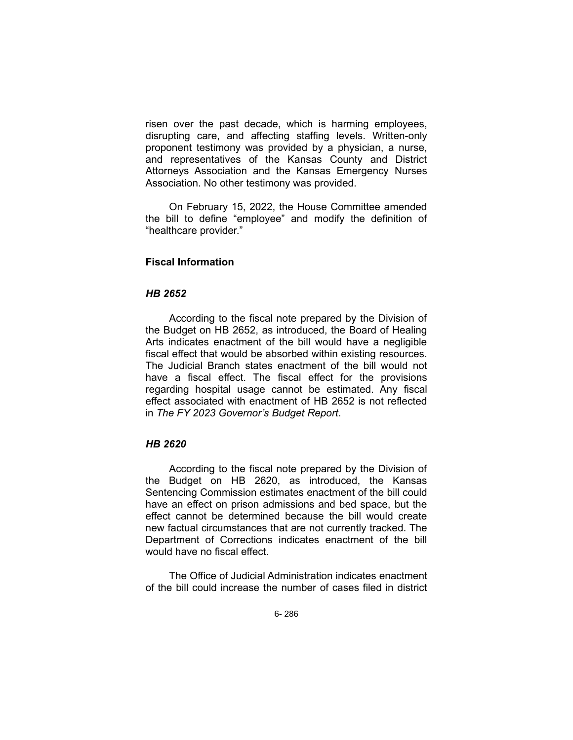risen over the past decade, which is harming employees, disrupting care, and affecting staffing levels. Written-only proponent testimony was provided by a physician, a nurse, and representatives of the Kansas County and District Attorneys Association and the Kansas Emergency Nurses Association. No other testimony was provided.

On February 15, 2022, the House Committee amended the bill to define "employee" and modify the definition of "healthcare provider."

# **Fiscal Information**

# *HB 2652*

According to the fiscal note prepared by the Division of the Budget on HB 2652, as introduced, the Board of Healing Arts indicates enactment of the bill would have a negligible fiscal effect that would be absorbed within existing resources. The Judicial Branch states enactment of the bill would not have a fiscal effect. The fiscal effect for the provisions regarding hospital usage cannot be estimated. Any fiscal effect associated with enactment of HB 2652 is not reflected in *The FY 2023 Governor's Budget Report*.

#### *HB 2620*

According to the fiscal note prepared by the Division of the Budget on HB 2620, as introduced, the Kansas Sentencing Commission estimates enactment of the bill could have an effect on prison admissions and bed space, but the effect cannot be determined because the bill would create new factual circumstances that are not currently tracked. The Department of Corrections indicates enactment of the bill would have no fiscal effect.

The Office of Judicial Administration indicates enactment of the bill could increase the number of cases filed in district